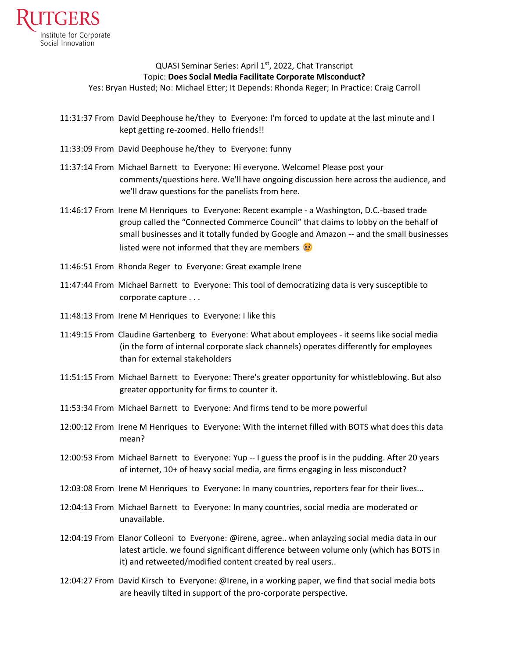

## QUASI Seminar Series: April 1<sup>st</sup>, 2022, Chat Transcript Topic: **Does Social Media Facilitate Corporate Misconduct?**

Yes: Bryan Husted; No: Michael Etter; It Depends: Rhonda Reger; In Practice: Craig Carroll

- 11:31:37 From David Deephouse he/they to Everyone: I'm forced to update at the last minute and I kept getting re-zoomed. Hello friends!!
- 11:33:09 From David Deephouse he/they to Everyone: funny
- 11:37:14 From Michael Barnett to Everyone: Hi everyone. Welcome! Please post your comments/questions here. We'll have ongoing discussion here across the audience, and we'll draw questions for the panelists from here.
- 11:46:17 From Irene M Henriques to Everyone: Recent example a Washington, D.C.-based trade group called the "Connected Commerce Council" that claims to lobby on the behalf of small businesses and it totally funded by Google and Amazon -- and the small businesses listed were not informed that they are members  $\odot$
- 11:46:51 From Rhonda Reger to Everyone: Great example Irene
- 11:47:44 From Michael Barnett to Everyone: This tool of democratizing data is very susceptible to corporate capture . . .
- 11:48:13 From Irene M Henriques to Everyone: I like this
- 11:49:15 From Claudine Gartenberg to Everyone: What about employees it seems like social media (in the form of internal corporate slack channels) operates differently for employees than for external stakeholders
- 11:51:15 From Michael Barnett to Everyone: There's greater opportunity for whistleblowing. But also greater opportunity for firms to counter it.
- 11:53:34 From Michael Barnett to Everyone: And firms tend to be more powerful
- 12:00:12 From Irene M Henriques to Everyone: With the internet filled with BOTS what does this data mean?
- 12:00:53 From Michael Barnett to Everyone: Yup -- I guess the proof is in the pudding. After 20 years of internet, 10+ of heavy social media, are firms engaging in less misconduct?
- 12:03:08 From Irene M Henriques to Everyone: In many countries, reporters fear for their lives...
- 12:04:13 From Michael Barnett to Everyone: In many countries, social media are moderated or unavailable.
- 12:04:19 From Elanor Colleoni to Everyone: @irene, agree.. when anlayzing social media data in our latest article. we found significant difference between volume only (which has BOTS in it) and retweeted/modified content created by real users..
- 12:04:27 From David Kirsch to Everyone: @Irene, in a working paper, we find that social media bots are heavily tilted in support of the pro-corporate perspective.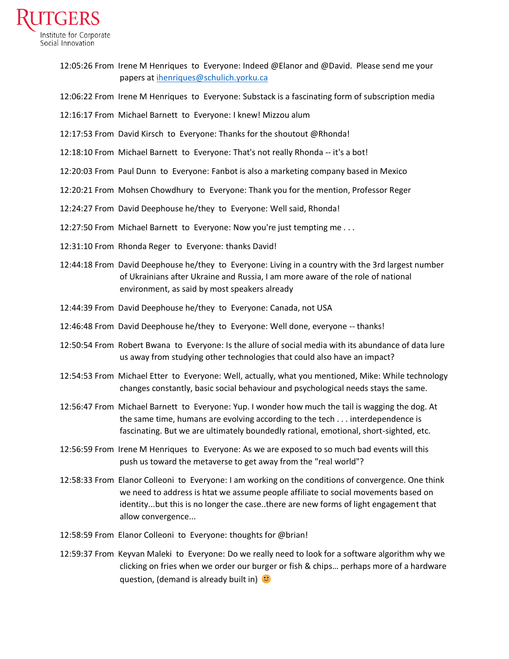

12:05:26 From Irene M Henriques to Everyone: Indeed @Elanor and @David. Please send me your papers at [ihenriques@schulich.yorku.ca](mailto:ihenriques@schulich.yorku.ca)

12:06:22 From Irene M Henriques to Everyone: Substack is a fascinating form of subscription media

12:16:17 From Michael Barnett to Everyone: I knew! Mizzou alum

12:17:53 From David Kirsch to Everyone: Thanks for the shoutout @Rhonda!

12:18:10 From Michael Barnett to Everyone: That's not really Rhonda -- it's a bot!

12:20:03 From Paul Dunn to Everyone: Fanbot is also a marketing company based in Mexico

12:20:21 From Mohsen Chowdhury to Everyone: Thank you for the mention, Professor Reger

12:24:27 From David Deephouse he/they to Everyone: Well said, Rhonda!

12:27:50 From Michael Barnett to Everyone: Now you're just tempting me . . .

12:31:10 From Rhonda Reger to Everyone: thanks David!

- 12:44:18 From David Deephouse he/they to Everyone: Living in a country with the 3rd largest number of Ukrainians after Ukraine and Russia, I am more aware of the role of national environment, as said by most speakers already
- 12:44:39 From David Deephouse he/they to Everyone: Canada, not USA
- 12:46:48 From David Deephouse he/they to Everyone: Well done, everyone -- thanks!
- 12:50:54 From Robert Bwana to Everyone: Is the allure of social media with its abundance of data lure us away from studying other technologies that could also have an impact?
- 12:54:53 From Michael Etter to Everyone: Well, actually, what you mentioned, Mike: While technology changes constantly, basic social behaviour and psychological needs stays the same.
- 12:56:47 From Michael Barnett to Everyone: Yup. I wonder how much the tail is wagging the dog. At the same time, humans are evolving according to the tech . . . interdependence is fascinating. But we are ultimately boundedly rational, emotional, short-sighted, etc.
- 12:56:59 From Irene M Henriques to Everyone: As we are exposed to so much bad events will this push us toward the metaverse to get away from the "real world"?
- 12:58:33 From Elanor Colleoni to Everyone: I am working on the conditions of convergence. One think we need to address is htat we assume people affiliate to social movements based on identity...but this is no longer the case..there are new forms of light engagement that allow convergence...
- 12:58:59 From Elanor Colleoni to Everyone: thoughts for @brian!
- 12:59:37 From Keyvan Maleki to Everyone: Do we really need to look for a software algorithm why we clicking on fries when we order our burger or fish & chips… perhaps more of a hardware question, (demand is already built in)  $\bullet$